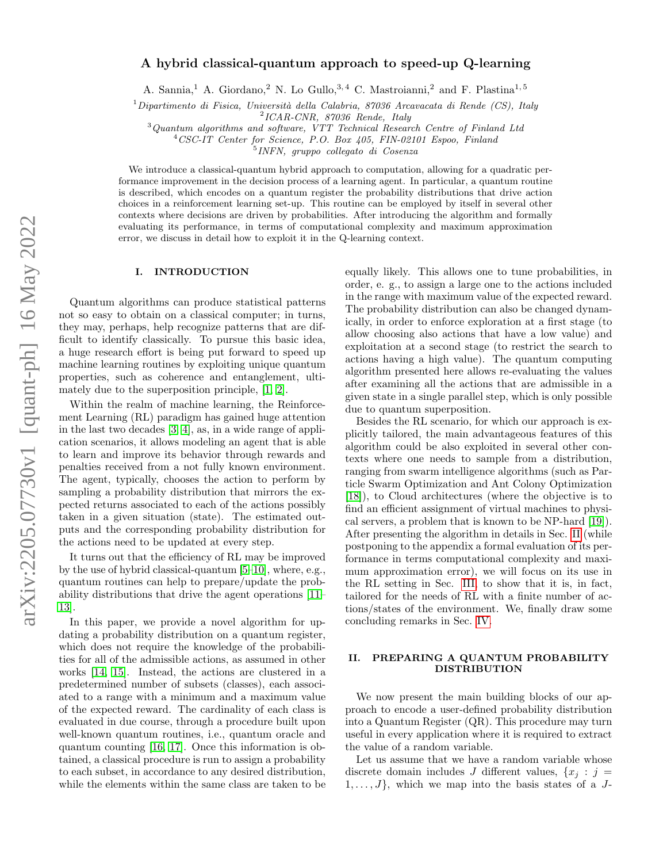# A hybrid classical-quantum approach to speed-up Q-learning

A. Sannia,<sup>1</sup> A. Giordano,<sup>2</sup> N. Lo Gullo,<sup>3,4</sup> C. Mastroianni,<sup>2</sup> and F. Plastina<sup>1,5</sup>

 $1$ Dipartimento di Fisica, Università della Calabria, 87036 Arcavacata di Rende (CS), Italy

 $^{2}$ ICAR-CNR, 87036 Rende, Italy

 $3$ Quantum algorithms and software, VTT Technical Research Centre of Finland Ltd

<sup>4</sup>CSC-IT Center for Science, P.O. Box 405, FIN-02101 Espoo, Finland

5 INFN, gruppo collegato di Cosenza

We introduce a classical-quantum hybrid approach to computation, allowing for a quadratic performance improvement in the decision process of a learning agent. In particular, a quantum routine is described, which encodes on a quantum register the probability distributions that drive action choices in a reinforcement learning set-up. This routine can be employed by itself in several other contexts where decisions are driven by probabilities. After introducing the algorithm and formally evaluating its performance, in terms of computational complexity and maximum approximation error, we discuss in detail how to exploit it in the Q-learning context.

#### I. INTRODUCTION

Quantum algorithms can produce statistical patterns not so easy to obtain on a classical computer; in turns, they may, perhaps, help recognize patterns that are difficult to identify classically. To pursue this basic idea, a huge research effort is being put forward to speed up machine learning routines by exploiting unique quantum properties, such as coherence and entanglement, ultimately due to the superposition principle, [\[1,](#page-4-0) [2\]](#page-4-1).

Within the realm of machine learning, the Reinforcement Learning (RL) paradigm has gained huge attention in the last two decades [\[3,](#page-4-2) [4\]](#page-4-3), as, in a wide range of application scenarios, it allows modeling an agent that is able to learn and improve its behavior through rewards and penalties received from a not fully known environment. The agent, typically, chooses the action to perform by sampling a probability distribution that mirrors the expected returns associated to each of the actions possibly taken in a given situation (state). The estimated outputs and the corresponding probability distribution for the actions need to be updated at every step.

It turns out that the efficiency of RL may be improved by the use of hybrid classical-quantum [\[5–](#page-4-4)[10\]](#page-4-5), where, e.g., quantum routines can help to prepare/update the probability distributions that drive the agent operations [\[11–](#page-4-6) [13\]](#page-4-7).

In this paper, we provide a novel algorithm for updating a probability distribution on a quantum register, which does not require the knowledge of the probabilities for all of the admissible actions, as assumed in other works [\[14,](#page-4-8) [15\]](#page-4-9). Instead, the actions are clustered in a predetermined number of subsets (classes), each associated to a range with a minimum and a maximum value of the expected reward. The cardinality of each class is evaluated in due course, through a procedure built upon well-known quantum routines, i.e., quantum oracle and quantum counting [\[16,](#page-4-10) [17\]](#page-4-11). Once this information is obtained, a classical procedure is run to assign a probability to each subset, in accordance to any desired distribution, while the elements within the same class are taken to be

equally likely. This allows one to tune probabilities, in order, e. g., to assign a large one to the actions included in the range with maximum value of the expected reward. The probability distribution can also be changed dynamically, in order to enforce exploration at a first stage (to allow choosing also actions that have a low value) and exploitation at a second stage (to restrict the search to actions having a high value). The quantum computing algorithm presented here allows re-evaluating the values after examining all the actions that are admissible in a given state in a single parallel step, which is only possible due to quantum superposition.

Besides the RL scenario, for which our approach is explicitly tailored, the main advantageous features of this algorithm could be also exploited in several other contexts where one needs to sample from a distribution, ranging from swarm intelligence algorithms (such as Particle Swarm Optimization and Ant Colony Optimization [\[18\]](#page-4-12)), to Cloud architectures (where the objective is to find an efficient assignment of virtual machines to physical servers, a problem that is known to be NP-hard [\[19\]](#page-4-13)). After presenting the algorithm in details in Sec. [II](#page-0-0) (while postponing to the appendix a formal evaluation of its performance in terms computational complexity and maximum approximation error), we will focus on its use in the RL setting in Sec. [III,](#page-1-0) to show that it is, in fact, tailored for the needs of RL with a finite number of actions/states of the environment. We, finally draw some concluding remarks in Sec. [IV.](#page-3-0)

## <span id="page-0-0"></span>II. PREPARING A QUANTUM PROBABILITY DISTRIBUTION

We now present the main building blocks of our approach to encode a user-defined probability distribution into a Quantum Register (QR). This procedure may turn useful in every application where it is required to extract the value of a random variable.

Let us assume that we have a random variable whose discrete domain includes J different values,  $\{x_i : j =$  $1, \ldots, J$ , which we map into the basis states of a J-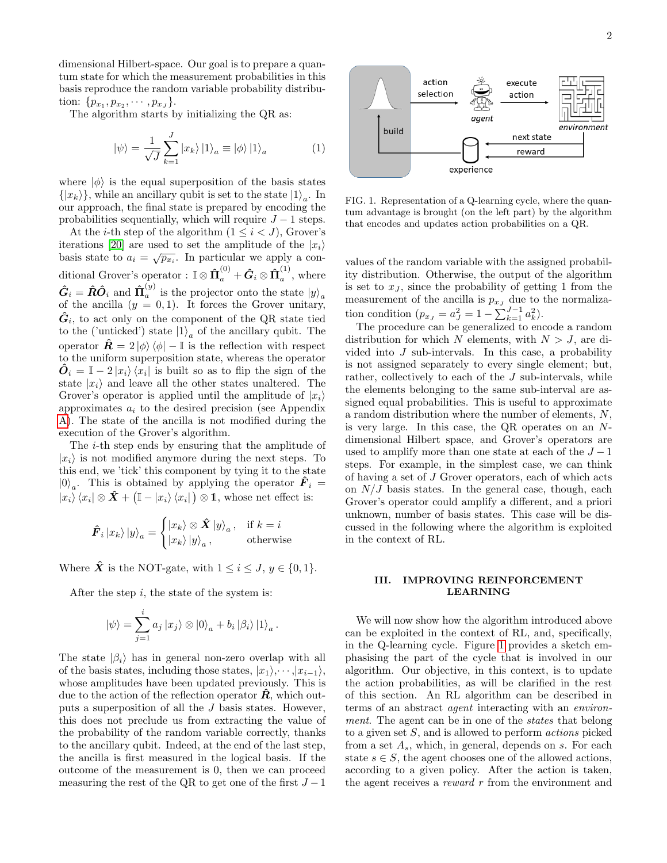dimensional Hilbert-space. Our goal is to prepare a quantum state for which the measurement probabilities in this basis reproduce the random variable probability distribution:  $\{p_{x_1}, p_{x_2}, \cdots, p_{x_J}\}.$ 

The algorithm starts by initializing the QR as:

$$
|\psi\rangle = \frac{1}{\sqrt{J}} \sum_{k=1}^{J} |x_k\rangle |1\rangle_a \equiv |\phi\rangle |1\rangle_a \tag{1}
$$

where  $|\phi\rangle$  is the equal superposition of the basis states  $\{|x_k\rangle\}$ , while an ancillary qubit is set to the state  $|1\rangle_a$ . In our approach, the final state is prepared by encoding the probabilities sequentially, which will require  $J - 1$  steps.

At the *i*-th step of the algorithm  $(1 \leq i < J)$ , Grover's iterations [\[20\]](#page-4-14) are used to set the amplitude of the  $|x_i\rangle$ basis state to  $a_i = \sqrt{p_{x_i}}$ . In particular we apply a conditional Grover's operator :  $\mathbb{I} \otimes \hat{\Pi}_a^{(0)} + \hat{G}_i \otimes \hat{\Pi}_a^{(1)}$  $a^{\binom{1}{2}}$ , where  $\boldsymbol{\hat{G}}_i = \boldsymbol{\hat{R}} \boldsymbol{\hat{O}}_i \text{ and } \boldsymbol{\hat{\Pi}}_a^{(y)}$  $a_a^{(y)}$  is the projector onto the state  $|y\rangle_a$ of the ancilla  $(y = 0, 1)$ . It forces the Grover unitary,  $\hat{G}_i$ , to act only on the component of the QR state tied to the ('unticked') state  $|1\rangle_a$  of the ancillary qubit. The operator  $\hat{\mathbf{R}} = 2 |\phi\rangle \langle \phi | - \mathbb{I}$  is the reflection with respect to the uniform superposition state, whereas the operator  $\hat{\boldsymbol{O}}_i = \mathbb{I} - 2 |x_i\rangle \langle x_i|$  is built so as to flip the sign of the state  $|x_i\rangle$  and leave all the other states unaltered. The Grover's operator is applied until the amplitude of  $|x_i\rangle$ approximates  $a_i$  to the desired precision (see Appendix [A\)](#page-5-0). The state of the ancilla is not modified during the execution of the Grover's algorithm.

The i-th step ends by ensuring that the amplitude of  $|x_i\rangle$  is not modified anymore during the next steps. To this end, we 'tick' this component by tying it to the state  $|0\rangle_a$ . This is obtained by applying the operator  $\hat{F}_i =$  $|x_i\rangle\langle x_i|\otimes \hat{X} + (\mathbb{I} - |x_i\rangle\langle x_i|) \otimes \mathbb{1}$ , whose net effect is:

$$
\hat{F}_i |x_k\rangle |y\rangle_a = \begin{cases} |x_k\rangle \otimes \hat{X} |y\rangle_a, & \text{if } k = i\\ |x_k\rangle |y\rangle_a, & \text{otherwise} \end{cases}
$$

Where  $\hat{\boldsymbol{X}}$  is the NOT-gate, with  $1 \leq i \leq J, y \in \{0, 1\}.$ 

After the step  $i$ , the state of the system is:

$$
\left|\psi\right\rangle = \sum_{j=1}^{i} a_j \left|x_j\right\rangle \otimes \left|0\right\rangle_a + b_i \left|\beta_i\right\rangle \left|1\right\rangle_a.
$$

The state  $|\beta_i\rangle$  has in general non-zero overlap with all of the basis states, including those states,  $|x_1\rangle, \cdots, |x_{i-1}\rangle$ , whose amplitudes have been updated previously. This is due to the action of the reflection operator  $\hat{R}$ , which outputs a superposition of all the J basis states. However, this does not preclude us from extracting the value of the probability of the random variable correctly, thanks to the ancillary qubit. Indeed, at the end of the last step, the ancilla is first measured in the logical basis. If the outcome of the measurement is 0, then we can proceed measuring the rest of the QR to get one of the first  $J-1$ 



<span id="page-1-1"></span>FIG. 1. Representation of a Q-learning cycle, where the quantum advantage is brought (on the left part) by the algorithm that encodes and updates action probabilities on a QR.

values of the random variable with the assigned probability distribution. Otherwise, the output of the algorithm is set to  $x<sub>J</sub>$ , since the probability of getting 1 from the measurement of the ancilla is  $p_{xJ}$  due to the normalization condition  $(p_{x_J} = a_J^2 = 1 - \sum_{k=1}^{J-1} a_k^2)$ .

The procedure can be generalized to encode a random distribution for which N elements, with  $N > J$ , are divided into J sub-intervals. In this case, a probability is not assigned separately to every single element; but, rather, collectively to each of the J sub-intervals, while the elements belonging to the same sub-interval are assigned equal probabilities. This is useful to approximate a random distribution where the number of elements, N, is very large. In this case, the QR operates on an Ndimensional Hilbert space, and Grover's operators are used to amplify more than one state at each of the  $J-1$ steps. For example, in the simplest case, we can think of having a set of J Grover operators, each of which acts on  $N/J$  basis states. In the general case, though, each Grover's operator could amplify a different, and a priori unknown, number of basis states. This case will be discussed in the following where the algorithm is exploited in the context of RL.

## <span id="page-1-0"></span>III. IMPROVING REINFORCEMENT LEARNING

We will now show how the algorithm introduced above can be exploited in the context of RL, and, specifically, in the Q-learning cycle. Figure [1](#page-1-1) provides a sketch emphasising the part of the cycle that is involved in our algorithm. Our objective, in this context, is to update the action probabilities, as will be clarified in the rest of this section. An RL algorithm can be described in terms of an abstract agent interacting with an environment. The agent can be in one of the *states* that belong to a given set S, and is allowed to perform actions picked from a set  $A_s$ , which, in general, depends on s. For each state  $s \in S$ , the agent chooses one of the allowed actions, according to a given policy. After the action is taken, the agent receives a *reward*  $r$  from the environment and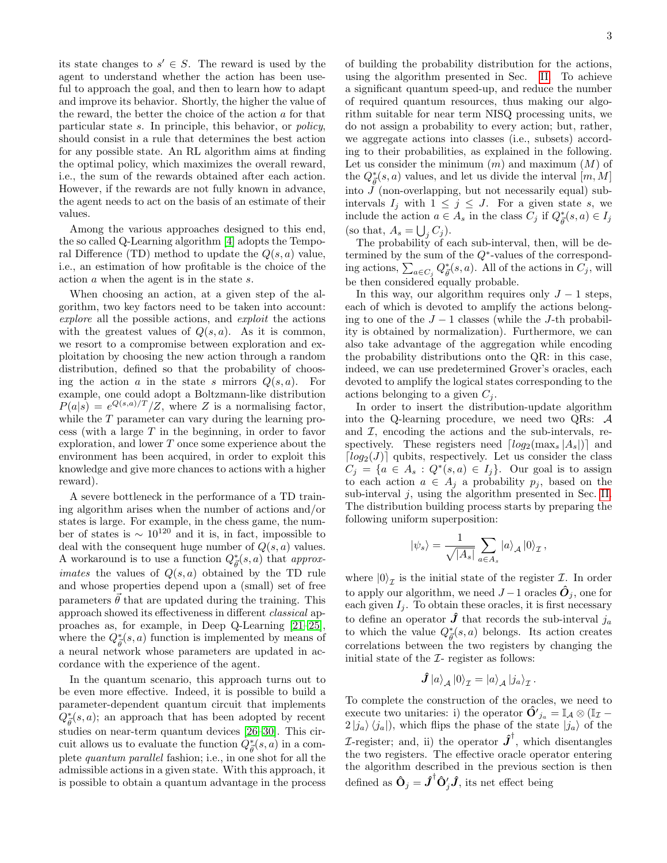its state changes to  $s' \in S$ . The reward is used by the agent to understand whether the action has been useful to approach the goal, and then to learn how to adapt and improve its behavior. Shortly, the higher the value of the reward, the better the choice of the action  $a$  for that particular state s. In principle, this behavior, or policy, should consist in a rule that determines the best action for any possible state. An RL algorithm aims at finding the optimal policy, which maximizes the overall reward, i.e., the sum of the rewards obtained after each action. However, if the rewards are not fully known in advance, the agent needs to act on the basis of an estimate of their values.

Among the various approaches designed to this end, the so called Q-Learning algorithm [\[4\]](#page-4-3) adopts the Temporal Difference (TD) method to update the  $Q(s, a)$  value, i.e., an estimation of how profitable is the choice of the action a when the agent is in the state s.

When choosing an action, at a given step of the algorithm, two key factors need to be taken into account: explore all the possible actions, and exploit the actions with the greatest values of  $Q(s, a)$ . As it is common, we resort to a compromise between exploration and exploitation by choosing the new action through a random distribution, defined so that the probability of choosing the action a in the state s mirrors  $Q(s, a)$ . For example, one could adopt a Boltzmann-like distribution  $P(a|s) = e^{Q(s,a)/T}/Z$ , where Z is a normalising factor, while the T parameter can vary during the learning process (with a large  $T$  in the beginning, in order to favor exploration, and lower T once some experience about the environment has been acquired, in order to exploit this knowledge and give more chances to actions with a higher reward).

A severe bottleneck in the performance of a TD training algorithm arises when the number of actions and/or states is large. For example, in the chess game, the number of states is  $\sim 10^{120}$  and it is, in fact, impossible to deal with the consequent huge number of  $Q(s, a)$  values. A workaround is to use a function  $Q^*_{\vec{\theta}}(s, a)$  that approx*imates* the values of  $Q(s, a)$  obtained by the TD rule and whose properties depend upon a (small) set of free parameters  $\vec{\theta}$  that are updated during the training. This approach showed its effectiveness in different classical approaches as, for example, in Deep Q-Learning [\[21–](#page-4-15)[25\]](#page-4-16), where the  $Q^*_{\vec{\theta}}(s, a)$  function is implemented by means of a neural network whose parameters are updated in accordance with the experience of the agent.

In the quantum scenario, this approach turns out to be even more effective. Indeed, it is possible to build a parameter-dependent quantum circuit that implements  $Q^*_{\vec{\theta}}(s, a)$ ; an approach that has been adopted by recent studies on near-term quantum devices [\[26–](#page-4-17)[30\]](#page-4-18). This circuit allows us to evaluate the function  $\hat{Q}_{\vec{\theta}}^*(s, a)$  in a complete quantum parallel fashion; i.e., in one shot for all the admissible actions in a given state. With this approach, it is possible to obtain a quantum advantage in the process of building the probability distribution for the actions, using the algorithm presented in Sec. [II.](#page-0-0) To achieve a significant quantum speed-up, and reduce the number of required quantum resources, thus making our algorithm suitable for near term NISQ processing units, we do not assign a probability to every action; but, rather, we aggregate actions into classes (i.e., subsets) according to their probabilities, as explained in the following. Let us consider the minimum  $(m)$  and maximum  $(M)$  of the  $Q_{\vec{\theta}}^*(s, a)$  values, and let us divide the interval  $[m, M]$ into  $J$  (non-overlapping, but not necessarily equal) subintervals  $I_j$  with  $1 \leq j \leq J$ . For a given state s, we include the action  $a \in A_s$  in the class  $C_j$  if  $Q^*_{\vec{\theta}}(s, a) \in I_j$ (so that,  $A_s = \bigcup_j C_j$ ).

The probability of each sub-interval, then, will be determined by the sum of the  $Q^*$ -values of the corresponding actions,  $\sum_{a \in C_j} Q^*_{\vec{\theta}}(s, a)$ . All of the actions in  $C_j$ , will be then considered equally probable.

In this way, our algorithm requires only  $J - 1$  steps, each of which is devoted to amplify the actions belonging to one of the  $J-1$  classes (while the J-th probability is obtained by normalization). Furthermore, we can also take advantage of the aggregation while encoding the probability distributions onto the QR: in this case, indeed, we can use predetermined Grover's oracles, each devoted to amplify the logical states corresponding to the actions belonging to a given  $C_j$ .

In order to insert the distribution-update algorithm into the Q-learning procedure, we need two QRs: A and  $I$ , encoding the actions and the sub-intervals, respectively. These registers need  $\lceil log_2(\text{max}_s |A_s|) \rceil$  and  $\lceil log_2(J) \rceil$  qubits, respectively. Let us consider the class  $C_j = \{a \in A_s : Q^*(s, a) \in I_j\}.$  Our goal is to assign to each action  $a \in A_i$  a probability  $p_i$ , based on the sub-interval  $j$ , using the algorithm presented in Sec. [II.](#page-0-0) The distribution building process starts by preparing the following uniform superposition:

$$
|\psi_s\rangle = \frac{1}{\sqrt{|A_s|}} \sum_{a \in A_s} |a\rangle_{\mathcal{A}} |0\rangle_{\mathcal{I}},
$$

where  $|0\rangle_{\mathcal{I}}$  is the initial state of the register  $\mathcal{I}$ . In order to apply our algorithm, we need  $J-1$  oracles  $\ddot{\mathbf{O}}_i$ , one for each given  $I_j$ . To obtain these oracles, it is first necessary to define an operator  $\hat{J}$  that records the sub-interval  $j_a$ to which the value  $Q_{\vec{\theta}}^*(s, a)$  belongs. Its action creates correlations between the two registers by changing the initial state of the  $I$ - register as follows:

$$
\hat{\bm{J}}\ket{a}_{\mathcal{A}}\ket{0}_{\mathcal{I}}=\ket{a}_{\mathcal{A}}\ket{j_a}_{\mathcal{I}}.
$$

To complete the construction of the oracles, we need to execute two unitaries: i) the operator  $\hat{\mathbf{O}}'_{j_a} = \mathbb{I}_{\mathcal{A}} \otimes (\mathbb{I}_{\mathcal{I}} 2 |j_a\rangle \langle j_a|$ , which flips the phase of the state  $|j_a\rangle$  of the *I*-register; and, ii) the operator  $\hat{J}^{\dagger}$ , which disentangles the two registers. The effective oracle operator entering the algorithm described in the previous section is then defined as  $\hat{\mathbf{O}}_j = \hat{\boldsymbol{J}}^{\dagger} \hat{\mathbf{O}}'_j \hat{\boldsymbol{J}}$ , its net effect being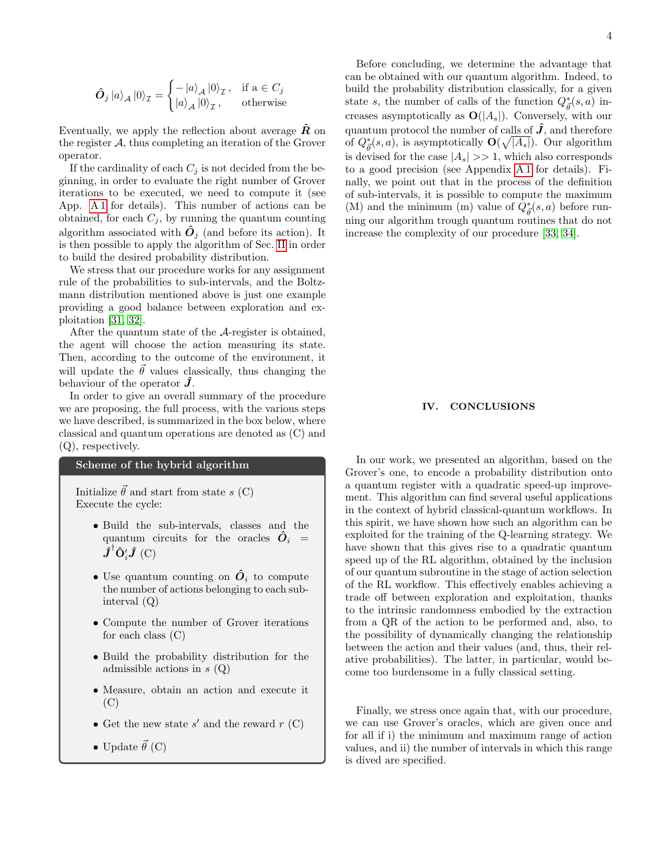$$
\hat{\boldsymbol{O}}_j |a\rangle_{\mathcal{A}} |0\rangle_{\mathcal{I}} = \begin{cases} -|a\rangle_{\mathcal{A}} |0\rangle_{\mathcal{I}}, & \text{if a } \in C_j \\ |a\rangle_{\mathcal{A}} |0\rangle_{\mathcal{I}}, & \text{otherwise} \end{cases}
$$

Eventually, we apply the reflection about average  $\hat{R}$  on the register  $A$ , thus completing an iteration of the Grover operator.

If the cardinality of each  $C_i$  is not decided from the beginning, in order to evaluate the right number of Grover iterations to be executed, we need to compute it (see App. [A 1](#page-5-1) for details). This number of actions can be obtained, for each  $C_j$ , by running the quantum counting algorithm associated with  $\hat{O}_j$  (and before its action). It is then possible to apply the algorithm of Sec. [II](#page-0-0) in order to build the desired probability distribution.

We stress that our procedure works for any assignment rule of the probabilities to sub-intervals, and the Boltzmann distribution mentioned above is just one example providing a good balance between exploration and exploitation [\[31,](#page-4-19) [32\]](#page-4-20).

After the quantum state of the A-register is obtained, the agent will choose the action measuring its state. Then, according to the outcome of the environment, it will update the  $\vec{\theta}$  values classically, thus changing the behaviour of the operator  $\hat{J}$ .

In order to give an overall summary of the procedure we are proposing, the full process, with the various steps we have described, is summarized in the box below, where classical and quantum operations are denoted as (C) and (Q), respectively.

### Scheme of the hybrid algorithm

Initialize  $\vec{\theta}$  and start from state s (C) Execute the cycle:

- Build the sub-intervals, classes and the quantum circuits for the oracles  $\hat{O}_i$  =  $\hat{\bm{J}}^{\dagger} \hat{\bm{\mathrm{O}}}'_i \hat{\bm{J}}\;(\bm{\mathrm{C}})$
- Use quantum counting on  $\hat{\bm{O}}_i$  to compute the number of actions belonging to each subinterval (Q)
- Compute the number of Grover iterations for each class  $(C)$
- Build the probability distribution for the admissible actions in  $s(Q)$
- Measure, obtain an action and execute it (C)
- Get the new state  $s'$  and the reward  $r$  (C)
- Update  $\vec{\theta}$  (C)

Before concluding, we determine the advantage that can be obtained with our quantum algorithm. Indeed, to build the probability distribution classically, for a given state s, the number of calls of the function  $Q^*_{\vec{\theta}}(s, a)$  increases asymptotically as  $\mathbf{O}(|A_s|)$ . Conversely, with our quantum protocol the number of calls of  $\hat{J}$ , and therefore of  $Q^*_{\vec{\theta}}(s, a)$ , is asymptotically  $\mathbf{O}(\sqrt{|A_s|})$ . Our algorithm is devised for the case  $|A_s| \gg 1$ , which also corresponds to a good precision (see Appendix [A 1](#page-5-1) for details). Finally, we point out that in the process of the definition of sub-intervals, it is possible to compute the maximum (M) and the minimum (m) value of  $Q_{\vec{\theta}}^*(s, a)$  before running our algorithm trough quantum routines that do not increase the complexity of our procedure [\[33,](#page-5-2) [34\]](#page-5-3).

## <span id="page-3-0"></span>IV. CONCLUSIONS

In our work, we presented an algorithm, based on the Grover's one, to encode a probability distribution onto a quantum register with a quadratic speed-up improvement. This algorithm can find several useful applications in the context of hybrid classical-quantum workflows. In this spirit, we have shown how such an algorithm can be exploited for the training of the Q-learning strategy. We have shown that this gives rise to a quadratic quantum speed up of the RL algorithm, obtained by the inclusion of our quantum subroutine in the stage of action selection of the RL workflow. This effectively enables achieving a trade off between exploration and exploitation, thanks to the intrinsic randomness embodied by the extraction from a QR of the action to be performed and, also, to the possibility of dynamically changing the relationship between the action and their values (and, thus, their relative probabilities). The latter, in particular, would become too burdensome in a fully classical setting.

Finally, we stress once again that, with our procedure, we can use Grover's oracles, which are given once and for all if i) the minimum and maximum range of action values, and ii) the number of intervals in which this range is dived are specified.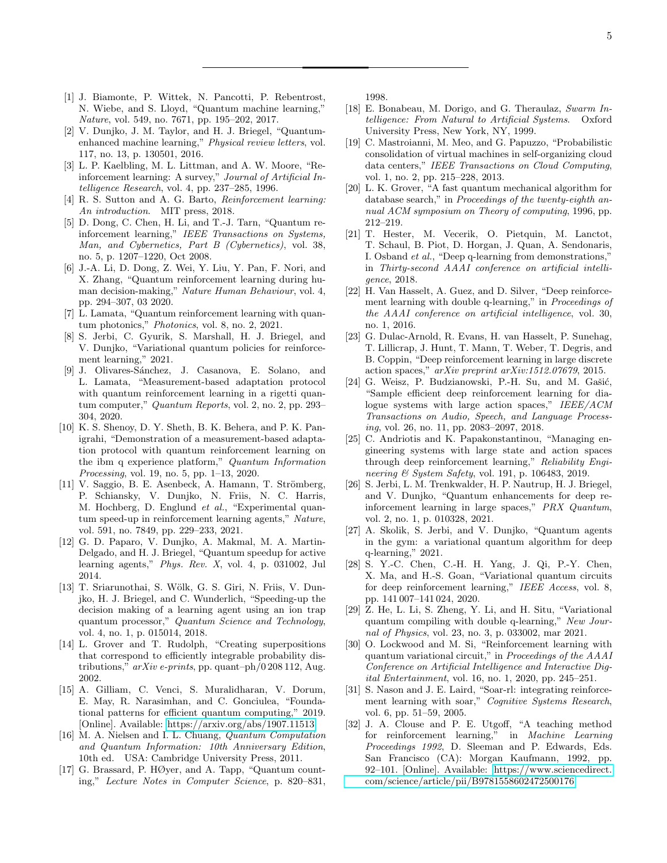- <span id="page-4-0"></span>[1] J. Biamonte, P. Wittek, N. Pancotti, P. Rebentrost, N. Wiebe, and S. Lloyd, "Quantum machine learning," Nature, vol. 549, no. 7671, pp. 195–202, 2017.
- <span id="page-4-1"></span>[2] V. Dunjko, J. M. Taylor, and H. J. Briegel, "Quantumenhanced machine learning," Physical review letters, vol. 117, no. 13, p. 130501, 2016.
- <span id="page-4-2"></span>[3] L. P. Kaelbling, M. L. Littman, and A. W. Moore, "Reinforcement learning: A survey," Journal of Artificial Intelligence Research, vol. 4, pp. 237–285, 1996.
- <span id="page-4-3"></span>[4] R. S. Sutton and A. G. Barto, *Reinforcement learning:* An introduction. MIT press, 2018.
- <span id="page-4-4"></span>[5] D. Dong, C. Chen, H. Li, and T.-J. Tarn, "Quantum reinforcement learning," IEEE Transactions on Systems, Man, and Cybernetics, Part B (Cybernetics), vol. 38, no. 5, p. 1207–1220, Oct 2008.
- [6] J.-A. Li, D. Dong, Z. Wei, Y. Liu, Y. Pan, F. Nori, and X. Zhang, "Quantum reinforcement learning during human decision-making," Nature Human Behaviour, vol. 4, pp. 294–307, 03 2020.
- [7] L. Lamata, "Quantum reinforcement learning with quantum photonics," Photonics, vol. 8, no. 2, 2021.
- [8] S. Jerbi, C. Gyurik, S. Marshall, H. J. Briegel, and V. Dunjko, "Variational quantum policies for reinforcement learning," 2021.
- [9] J. Olivares-Sánchez, J. Casanova, E. Solano, and L. Lamata, "Measurement-based adaptation protocol with quantum reinforcement learning in a rigetti quantum computer," Quantum Reports, vol. 2, no. 2, pp. 293– 304, 2020.
- <span id="page-4-5"></span>[10] K. S. Shenoy, D. Y. Sheth, B. K. Behera, and P. K. Panigrahi, "Demonstration of a measurement-based adaptation protocol with quantum reinforcement learning on the ibm q experience platform," Quantum Information Processing, vol. 19, no. 5, pp. 1–13, 2020.
- <span id="page-4-6"></span>[11] V. Saggio, B. E. Asenbeck, A. Hamann, T. Strömberg, P. Schiansky, V. Dunjko, N. Friis, N. C. Harris, M. Hochberg, D. Englund et al., "Experimental quantum speed-up in reinforcement learning agents," Nature, vol. 591, no. 7849, pp. 229–233, 2021.
- [12] G. D. Paparo, V. Dunjko, A. Makmal, M. A. Martin-Delgado, and H. J. Briegel, "Quantum speedup for active learning agents," Phys. Rev. X, vol. 4, p. 031002, Jul 2014.
- <span id="page-4-7"></span>[13] T. Sriarunothai, S. Wölk, G. S. Giri, N. Friis, V. Dunjko, H. J. Briegel, and C. Wunderlich, "Speeding-up the decision making of a learning agent using an ion trap quantum processor," Quantum Science and Technology, vol. 4, no. 1, p. 015014, 2018.
- <span id="page-4-8"></span>[14] L. Grover and T. Rudolph, "Creating superpositions that correspond to efficiently integrable probability distributions,"  $arXiv$  e-prints, pp. quant–ph/0 208 112, Aug. 2002.
- <span id="page-4-9"></span>[15] A. Gilliam, C. Venci, S. Muralidharan, V. Dorum, E. May, R. Narasimhan, and C. Gonciulea, "Foundational patterns for efficient quantum computing," 2019. [Online]. Available:<https://arxiv.org/abs/1907.11513>
- <span id="page-4-10"></span>[16] M. A. Nielsen and I. L. Chuang, Quantum Computation and Quantum Information: 10th Anniversary Edition, 10th ed. USA: Cambridge University Press, 2011.
- <span id="page-4-11"></span>[17] G. Brassard, P. HØyer, and A. Tapp, "Quantum counting," Lecture Notes in Computer Science, p. 820–831,

1998.

- <span id="page-4-12"></span>[18] E. Bonabeau, M. Dorigo, and G. Theraulaz, Swarm Intelligence: From Natural to Artificial Systems. Oxford University Press, New York, NY, 1999.
- <span id="page-4-13"></span>[19] C. Mastroianni, M. Meo, and G. Papuzzo, "Probabilistic consolidation of virtual machines in self-organizing cloud data centers," IEEE Transactions on Cloud Computing, vol. 1, no. 2, pp. 215–228, 2013.
- <span id="page-4-14"></span>[20] L. K. Grover, "A fast quantum mechanical algorithm for database search," in *Proceedings of the twenty-eighth an*nual ACM symposium on Theory of computing, 1996, pp. 212–219.
- <span id="page-4-15"></span>[21] T. Hester, M. Vecerik, O. Pietquin, M. Lanctot, T. Schaul, B. Piot, D. Horgan, J. Quan, A. Sendonaris, I. Osband et al., "Deep q-learning from demonstrations," in Thirty-second AAAI conference on artificial intelligence, 2018.
- [22] H. Van Hasselt, A. Guez, and D. Silver, "Deep reinforcement learning with double q-learning," in Proceedings of the AAAI conference on artificial intelligence, vol. 30, no. 1, 2016.
- [23] G. Dulac-Arnold, R. Evans, H. van Hasselt, P. Sunehag, T. Lillicrap, J. Hunt, T. Mann, T. Weber, T. Degris, and B. Coppin, "Deep reinforcement learning in large discrete action spaces," arXiv preprint arXiv:1512.07679, 2015.
- [24] G. Weisz, P. Budzianowski, P.-H. Su, and M. Gašić, "Sample efficient deep reinforcement learning for dialogue systems with large action spaces," IEEE/ACM Transactions on Audio, Speech, and Language Processing, vol. 26, no. 11, pp. 2083–2097, 2018.
- <span id="page-4-16"></span>[25] C. Andriotis and K. Papakonstantinou, "Managing engineering systems with large state and action spaces through deep reinforcement learning," Reliability Engineering & System Safety, vol. 191, p. 106483, 2019.
- <span id="page-4-17"></span>[26] S. Jerbi, L. M. Trenkwalder, H. P. Nautrup, H. J. Briegel, and V. Dunjko, "Quantum enhancements for deep reinforcement learning in large spaces," PRX Quantum, vol. 2, no. 1, p. 010328, 2021.
- [27] A. Skolik, S. Jerbi, and V. Dunjko, "Quantum agents in the gym: a variational quantum algorithm for deep q-learning," 2021.
- [28] S. Y.-C. Chen, C.-H. H. Yang, J. Qi, P.-Y. Chen, X. Ma, and H.-S. Goan, "Variational quantum circuits for deep reinforcement learning," IEEE Access, vol. 8, pp. 141 007–141 024, 2020.
- [29] Z. He, L. Li, S. Zheng, Y. Li, and H. Situ, "Variational quantum compiling with double q-learning," New Journal of Physics, vol. 23, no. 3, p. 033002, mar 2021.
- <span id="page-4-18"></span>[30] O. Lockwood and M. Si, "Reinforcement learning with quantum variational circuit," in Proceedings of the AAAI Conference on Artificial Intelligence and Interactive Digital Entertainment, vol. 16, no. 1, 2020, pp. 245–251.
- <span id="page-4-19"></span>[31] S. Nason and J. E. Laird, "Soar-rl: integrating reinforcement learning with soar," Cognitive Systems Research, vol. 6, pp. 51–59, 2005.
- <span id="page-4-20"></span>[32] J. A. Clouse and P. E. Utgoff, "A teaching method for reinforcement learning," in Machine Learning Proceedings 1992, D. Sleeman and P. Edwards, Eds. San Francisco (CA): Morgan Kaufmann, 1992, pp. 92–101. [Online]. Available: [https://www.sciencedirect.](https://www.sciencedirect.com/science/article/pii/B9781558602472500176) [com/science/article/pii/B9781558602472500176](https://www.sciencedirect.com/science/article/pii/B9781558602472500176)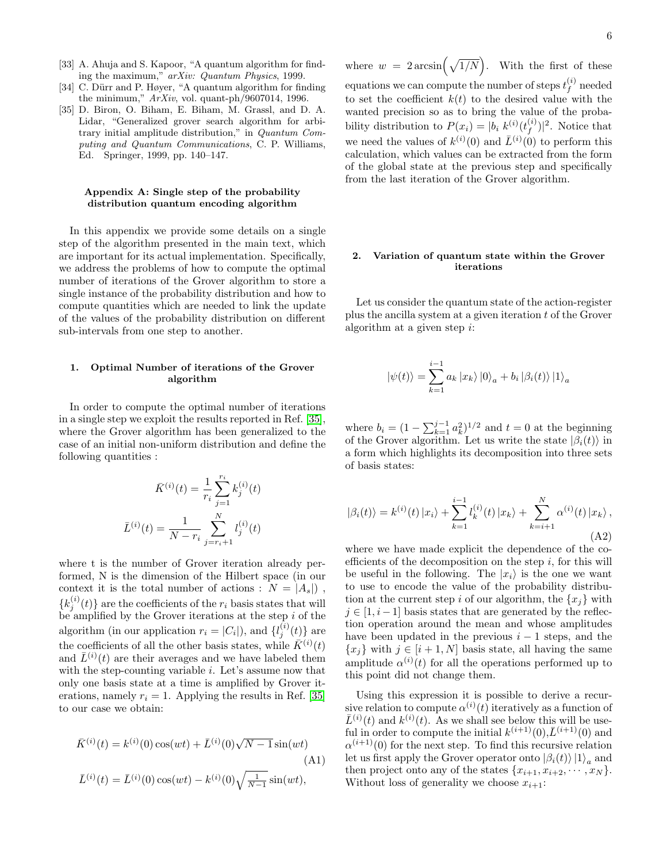- <span id="page-5-2"></span>[33] A. Ahuja and S. Kapoor, "A quantum algorithm for finding the maximum," arXiv: Quantum Physics, 1999.
- <span id="page-5-3"></span>[34] C. Dürr and P. Høyer, "A quantum algorithm for finding the minimum," ArXiv, vol. quant-ph/9607014, 1996.
- <span id="page-5-4"></span>[35] D. Biron, O. Biham, E. Biham, M. Grassl, and D. A. Lidar, "Generalized grover search algorithm for arbitrary initial amplitude distribution," in Quantum Computing and Quantum Communications, C. P. Williams, Ed. Springer, 1999, pp. 140–147.

#### <span id="page-5-0"></span>Appendix A: Single step of the probability distribution quantum encoding algorithm

In this appendix we provide some details on a single step of the algorithm presented in the main text, which are important for its actual implementation. Specifically, we address the problems of how to compute the optimal number of iterations of the Grover algorithm to store a single instance of the probability distribution and how to compute quantities which are needed to link the update of the values of the probability distribution on different sub-intervals from one step to another.

### <span id="page-5-1"></span>1. Optimal Number of iterations of the Grover algorithm

In order to compute the optimal number of iterations in a single step we exploit the results reported in Ref. [\[35\]](#page-5-4), where the Grover algorithm has been generalized to the case of an initial non-uniform distribution and define the following quantities :

$$
\bar{K}^{(i)}(t) = \frac{1}{r_i} \sum_{j=1}^{r_i} k_j^{(i)}(t)
$$

$$
\bar{L}^{(i)}(t) = \frac{1}{N - r_i} \sum_{j=r_i+1}^{N} l_j^{(i)}(t)
$$

where t is the number of Grover iteration already performed, N is the dimension of the Hilbert space (in our context it is the total number of actions :  $N = |A_s|$ ,  ${k_j^{(i)}(t)}$  are the coefficients of the  $r_i$  basis states that will be amplified by the Grover iterations at the step i of the algorithm (in our application  $r_i = |C_i|$ ), and  $\{l_j^{(i)}(t)\}$  are the coefficients of all the other basis states, while  $\bar{K}^{(i)}(t)$ and  $\bar{L}^{(i)}(t)$  are their averages and we have labeled them with the step-counting variable  $i$ . Let's assume now that only one basis state at a time is amplified by Grover iterations, namely  $r_i = 1$ . Applying the results in Ref. [\[35\]](#page-5-4) to our case we obtain:

<span id="page-5-5"></span>
$$
\bar{K}^{(i)}(t) = k^{(i)}(0)\cos(wt) + \bar{L}^{(i)}(0)\sqrt{N-1}\sin(wt)
$$
\n(A1)\n
$$
\bar{L}^{(i)}(t) = \bar{L}^{(i)}(0)\cos(wt) - k^{(i)}(0)\sqrt{\frac{1}{N-1}}\sin(wt),
$$

where  $w = 2 \arcsin(\sqrt{1/N})$ . With the first of these equations we can compute the number of steps  $t_f^{(i)}$  $\int_f^{(i)}$  needed to set the coefficient  $k(t)$  to the desired value with the wanted precision so as to bring the value of the probability distribution to  $P(x_i) = |b_i\; k^{(i)}(t_f^{(i)})|$  $_{f}^{(i)}$ )|<sup>2</sup>. Notice that we need the values of  $k^{(i)}(0)$  and  $\overline{L}^{(i)}(0)$  to perform this calculation, which values can be extracted from the form of the global state at the previous step and specifically from the last iteration of the Grover algorithm.

## 2. Variation of quantum state within the Grover iterations

Let us consider the quantum state of the action-register plus the ancilla system at a given iteration  $t$  of the Grover algorithm at a given step i:

$$
\left|\psi(t)\right\rangle = \sum_{k=1}^{i-1} a_k \left|x_k\right\rangle \left|0\right\rangle_a + b_i \left|\beta_i(t)\right\rangle \left|1\right\rangle_a
$$

where  $b_i = (1 - \sum_{k=1}^{j-1} a_k^2)^{1/2}$  and  $t = 0$  at the beginning of the Grover algorithm. Let us write the state  $|\beta_i(t)\rangle$  in a form which highlights its decomposition into three sets of basis states:

$$
|\beta_i(t)\rangle = k^{(i)}(t) |x_i\rangle + \sum_{k=1}^{i-1} l_k^{(i)}(t) |x_k\rangle + \sum_{k=i+1}^{N} \alpha^{(i)}(t) |x_k\rangle,
$$
\n(A2)

where we have made explicit the dependence of the coefficients of the decomposition on the step  $i$ , for this will be useful in the following. The  $|x_i\rangle$  is the one we want to use to encode the value of the probability distribution at the current step i of our algorithm, the  $\{x_i\}$  with  $j \in [1, i-1]$  basis states that are generated by the reflection operation around the mean and whose amplitudes have been updated in the previous  $i - 1$  steps, and the  ${x_i}$  with  $j \in [i + 1, N]$  basis state, all having the same amplitude  $\alpha^{(i)}(t)$  for all the operations performed up to this point did not change them.

Using this expression it is possible to derive a recursive relation to compute  $\alpha^{(i)}(t)$  iteratively as a function of  $\bar{L}^{(i)}(t)$  and  $k^{(i)}(t)$ . As we shall see below this will be useful in order to compute the initial  $k^{(i+1)}(0), \bar{L}^{(i+1)}(0)$  and  $\alpha^{(i+1)}(0)$  for the next step. To find this recursive relation let us first apply the Grover operator onto  $\left|\beta_i(t)\right\rangle\left|1\right\rangle_a$  and then project onto any of the states  $\{x_{i+1}, x_{i+2}, \cdots, x_N\}$ . Without loss of generality we choose  $x_{i+1}$ :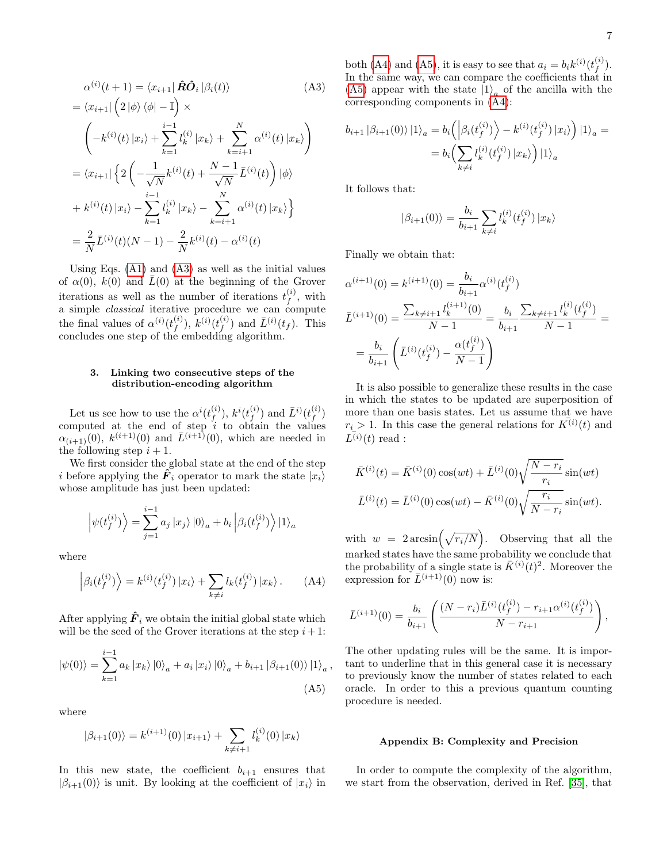<span id="page-6-0"></span>
$$
\alpha^{(i)}(t+1) = \langle x_{i+1} | \hat{R} \hat{O}_i | \beta_i(t) \rangle
$$
\n(A3)

$$
= \langle x_{i+1} | \left( 2 | \phi \rangle \langle \phi | - \mathbb{I} \right) \times
$$
  

$$
\left( -k^{(i)}(t) | x_i \rangle + \sum_{k=1}^{i-1} l_k^{(i)} | x_k \rangle + \sum_{k=i+1}^{N} \alpha^{(i)}(t) | x_k \rangle \right)
$$
  

$$
= \langle x_{i+1} | \left\{ 2 \left( -\frac{1}{\sqrt{N}} k^{(i)}(t) + \frac{N-1}{\sqrt{N}} \bar{L}^{(i)}(t) \right) | \phi \rangle \right.
$$
  

$$
+ k^{(i)}(t) | x_i \rangle - \sum_{k=1}^{i-1} l_k^{(i)} | x_k \rangle - \sum_{k=i+1}^{N} \alpha^{(i)}(t) | x_k \rangle \right\}
$$
  

$$
= \frac{2}{N} \bar{L}^{(i)}(t) (N-1) - \frac{2}{N} k^{(i)}(t) - \alpha^{(i)}(t)
$$

Using Eqs. [\(A1\)](#page-5-5) and [\(A3\)](#page-6-0) as well as the initial values of  $\alpha(0)$ ,  $k(0)$  and  $\overline{L}(0)$  at the beginning of the Grover iterations as well as the number of iterations  $t_f^{(i)}$  $f^{(i)}$ , with a simple *classical* iterative procedure we can compute the final values of  $\alpha^{(i)}(t_f^{(i)})$  $f^{(i)}$ ),  $k^{(i)}$  $(t^{(i)}_f)$  $(f^{(i)})$  and  $\overline{L}^{(i)}(t_f)$ . This concludes one step of the embedding algorithm.

#### 3. Linking two consecutive steps of the distribution-encoding algorithm

Let us see how to use the  $\alpha^{i}(t^{(i)}_f)$  $\left( i \atop f \right),\,k^i(t^{(i)}_f)$  $(\stackrel{(i)}{f})$  and  $\bar{L}^{i)}(t^{(i)}_f)$  $\binom{y}{f}$ computed at the end of step  $i$  to obtain the values  $\alpha_{(i+1)}(0), k^{(i+1)}(0)$  and  $\bar{L}^{(i+1)}(0)$ , which are needed in the following step  $i + 1$ .

We first consider the global state at the end of the step i before applying the  $\hat{F}_i$  operator to mark the state  $|x_i\rangle$ whose amplitude has just been updated:

$$
\left| \psi(t_f^{(i)}) \right\rangle = \sum_{j=1}^{i-1} a_j \left| x_j \right\rangle \left| 0 \right\rangle_a + b_i \left| \beta_i(t_f^{(i)}) \right\rangle \left| 1 \right\rangle_a
$$

where

$$
\left| \beta_i(t_f^{(i)}) \right\rangle = k^{(i)}(t_f^{(i)}) \left| x_i \right\rangle + \sum_{k \neq i} l_k(t_f^{(i)}) \left| x_k \right\rangle. \tag{A4}
$$

After applying  $\hat{F}_i$  we obtain the initial global state which will be the seed of the Grover iterations at the step  $i+1$ :

$$
|\psi(0)\rangle = \sum_{k=1}^{i-1} a_k |x_k\rangle |0\rangle_a + a_i |x_i\rangle |0\rangle_a + b_{i+1} |\beta_{i+1}(0)\rangle |1\rangle_a
$$
\n(A5)

<span id="page-6-2"></span>,

where

$$
|\beta_{i+1}(0)\rangle = k^{(i+1)}(0) |x_{i+1}\rangle + \sum_{k \neq i+1} l_k^{(i)}(0) |x_k\rangle
$$

In this new state, the coefficient  $b_{i+1}$  ensures that  $|\beta_{i+1}(0)\rangle$  is unit. By looking at the coefficient of  $|x_i\rangle$  in

both [\(A4\)](#page-6-1) and [\(A5\)](#page-6-2), it is easy to see that  $a_i = b_i k^{(i)} (t_f^{(i)})$  $\binom{1}{f}$ . In the same way, we can compare the coefficients that in [\(A5\)](#page-6-2) appear with the state  $|1\rangle_a$  of the ancilla with the corresponding components in [\(A4\)](#page-6-1):

$$
b_{i+1} |\beta_{i+1}(0)\rangle |1\rangle_a = b_i \left( \left| \beta_i(t_f^{(i)}) \right\rangle - k^{(i)}(t_f^{(i)}) |x_i\rangle \right) |1\rangle_a = = b_i \left( \sum_{k \neq i} l_k^{(i)}(t_f^{(i)}) |x_k\rangle \right) |1\rangle_a
$$

It follows that:

$$
|\beta_{i+1}(0)\rangle = \frac{b_i}{b_{i+1}} \sum_{k \neq i} l_k^{(i)}(t_f^{(i)}) |x_k\rangle
$$

Finally we obtain that:

$$
\alpha^{(i+1)}(0) = k^{(i+1)}(0) = \frac{b_i}{b_{i+1}} \alpha^{(i)}(t_f^{(i)})
$$
  

$$
\bar{L}^{(i+1)}(0) = \frac{\sum_{k \neq i+1} l_k^{(i+1)}(0)}{N-1} = \frac{b_i}{b_{i+1}} \frac{\sum_{k \neq i+1} l_k^{(i)}(t_f^{(i)})}{N-1} =
$$
  

$$
= \frac{b_i}{b_{i+1}} \left( \bar{L}^{(i)}(t_f^{(i)}) - \frac{\alpha(t_f^{(i)})}{N-1} \right)
$$

It is also possible to generalize these results in the case in which the states to be updated are superposition of more than one basis states. Let us assume that we have  $r_i > 1$ . In this case the general relations for  $K^{(i)}(t)$  and  $L^{(i)}(t)$  read :

$$
\bar{K}^{(i)}(t) = \bar{K}^{(i)}(0)\cos(wt) + \bar{L}^{(i)}(0)\sqrt{\frac{N-r_i}{r_i}}\sin(wt)
$$

$$
\bar{L}^{(i)}(t) = \bar{L}^{(i)}(0)\cos(wt) - \bar{K}^{(i)}(0)\sqrt{\frac{r_i}{N-r_i}}\sin(wt).
$$

<span id="page-6-1"></span>with  $w = 2 \arcsin\left(\sqrt{r_i/N}\right)$ . Observing that all the marked states have the same probability we conclude that the probability of a single state is  $\bar{K}^{(i)}(t)^2$ . Moreover the expression for  $\bar{L}^{(i+1)}(0)$  now is:

$$
\bar{L}^{(i+1)}(0) = \frac{b_i}{b_{i+1}} \left( \frac{(N-r_i)\bar{L}^{(i)}(t_f^{(i)}) - r_{i+1}\alpha^{(i)}(t_f^{(i)})}{N-r_{i+1}} \right),
$$

The other updating rules will be the same. It is important to underline that in this general case it is necessary to previously know the number of states related to each oracle. In order to this a previous quantum counting procedure is needed.

#### Appendix B: Complexity and Precision

In order to compute the complexity of the algorithm, we start from the observation, derived in Ref. [\[35\]](#page-5-4), that